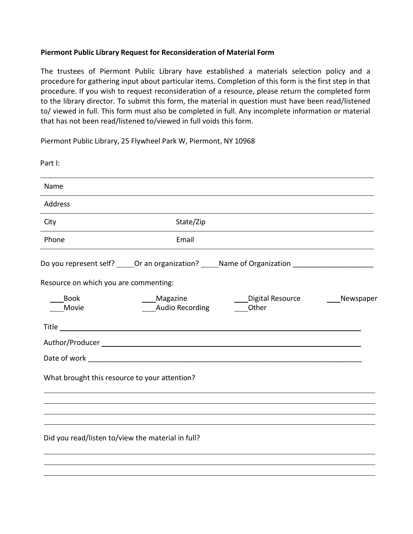## **Piermont Public Library Request for Reconsideration of Material Form**

The trustees of Piermont Public Library have established a materials selection policy and a procedure for gathering input about particular items. Completion of this form is the first step in that procedure. If you wish to request reconsideration of a resource, please return the completed form to the library director. To submit this form, the material in question must have been read/listened to/ viewed in full. This form must also be completed in full. Any incomplete information or material that has not been read/listened to/viewed in full voids this form.

Piermont Public Library, 25 Flywheel Park W, Piermont, NY 10968

| Part I:                                           |                                                                                                     |                           |           |
|---------------------------------------------------|-----------------------------------------------------------------------------------------------------|---------------------------|-----------|
| Name                                              |                                                                                                     |                           |           |
| Address                                           |                                                                                                     |                           |           |
| City                                              | State/Zip                                                                                           |                           |           |
| Phone                                             | Email                                                                                               |                           |           |
|                                                   | Do you represent self? _____Or an organization? _____Name of Organization _________________________ |                           |           |
| Resource on which you are commenting:             |                                                                                                     |                           |           |
| <b>Book</b><br>Movie                              | Magazine<br><b>Audio Recording</b>                                                                  | Digital Resource<br>Other | Newspaper |
|                                                   |                                                                                                     |                           |           |
|                                                   |                                                                                                     |                           |           |
|                                                   |                                                                                                     |                           |           |
| What brought this resource to your attention?     |                                                                                                     |                           |           |
|                                                   |                                                                                                     |                           |           |
| Did you read/listen to/view the material in full? |                                                                                                     |                           |           |
|                                                   |                                                                                                     |                           |           |